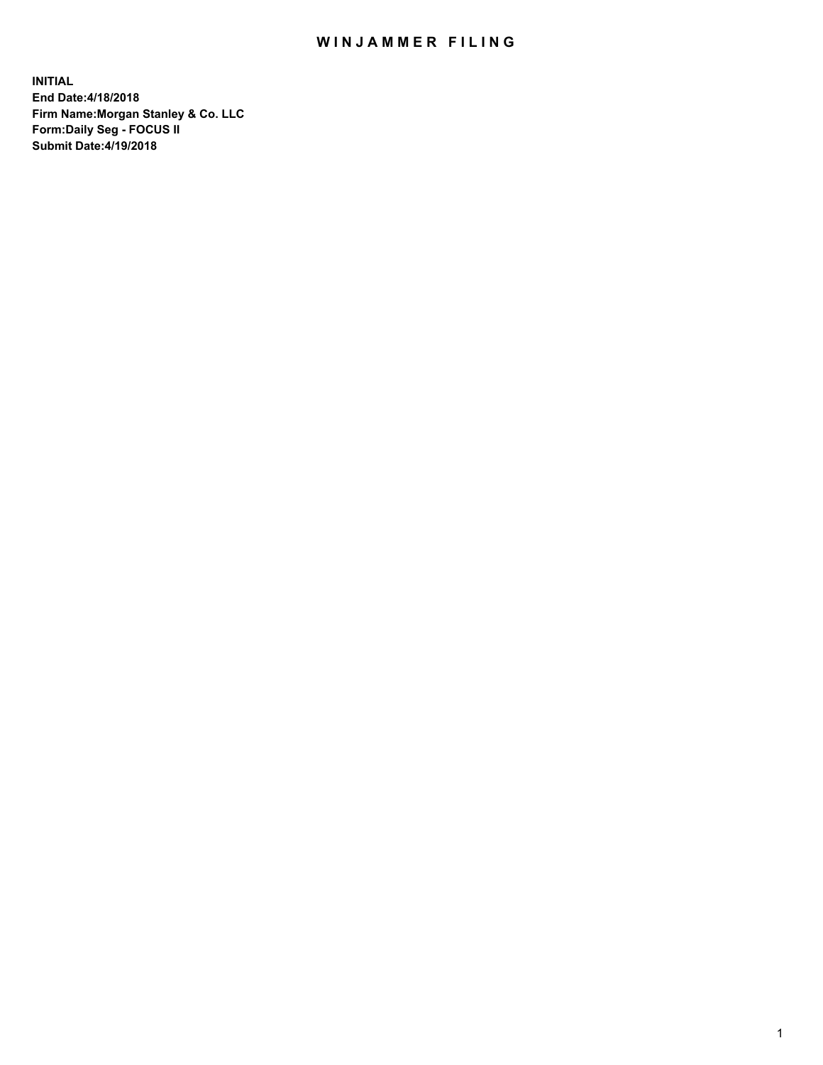# WIN JAMMER FILING

**INITIAL End Date:4/18/2018 Firm Name:Morgan Stanley & Co. LLC Form:Daily Seg - FOCUS II Submit Date:4/19/2018**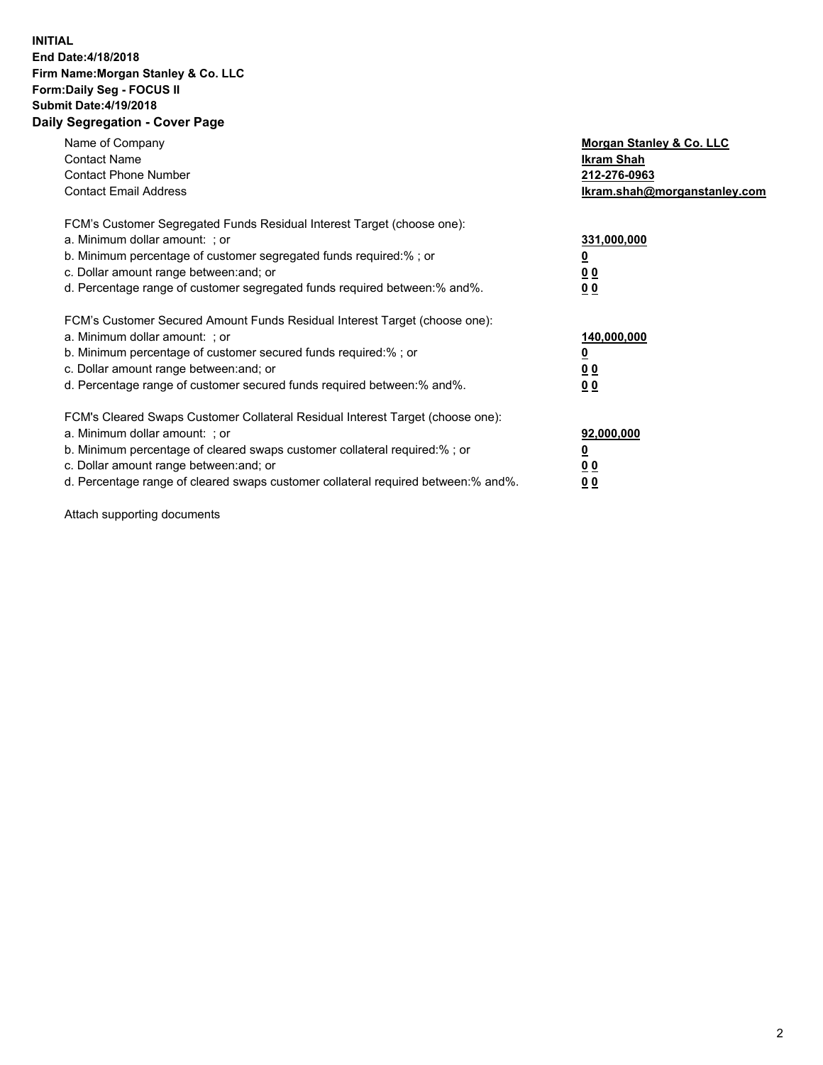### **INITIAL End Date:4/18/2018 Firm Name:Morgan Stanley & Co. LLC Form:Daily Seg - FOCUS II Submit Date:4/19/2018 Daily Segregation - Cover Page**

| Name of Company<br><b>Contact Name</b><br><b>Contact Phone Number</b><br><b>Contact Email Address</b>                                                                                                                                                                                                                          | Morgan Stanley & Co. LLC<br>Ikram Shah<br>212-276-0963<br>lkram.shah@morganstanley.com |
|--------------------------------------------------------------------------------------------------------------------------------------------------------------------------------------------------------------------------------------------------------------------------------------------------------------------------------|----------------------------------------------------------------------------------------|
| FCM's Customer Segregated Funds Residual Interest Target (choose one):<br>a. Minimum dollar amount: ; or<br>b. Minimum percentage of customer segregated funds required:%; or<br>c. Dollar amount range between: and; or<br>d. Percentage range of customer segregated funds required between:% and%.                          | 331,000,000<br><u>0</u><br>0 <sub>0</sub><br>00                                        |
| FCM's Customer Secured Amount Funds Residual Interest Target (choose one):<br>a. Minimum dollar amount: ; or<br>b. Minimum percentage of customer secured funds required:%; or<br>c. Dollar amount range between: and; or<br>d. Percentage range of customer secured funds required between:% and%.                            | 140,000,000<br>0 <sub>0</sub><br>0 <sub>0</sub>                                        |
| FCM's Cleared Swaps Customer Collateral Residual Interest Target (choose one):<br>a. Minimum dollar amount: ; or<br>b. Minimum percentage of cleared swaps customer collateral required:% ; or<br>c. Dollar amount range between: and; or<br>d. Percentage range of cleared swaps customer collateral required between:% and%. | 92,000,000<br>0 <sub>0</sub><br><u>00</u>                                              |

Attach supporting documents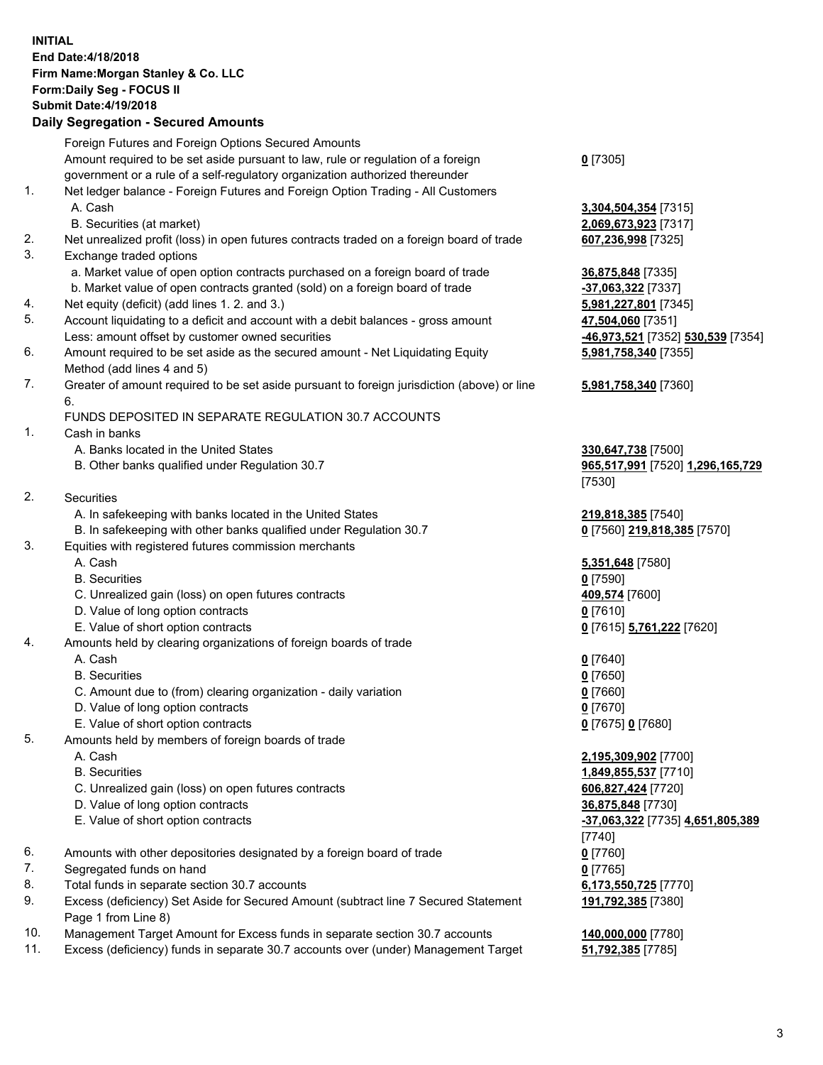# **INITIAL End Date:4/18/2018 Firm Name:Morgan Stanley & Co. LLC Form:Daily Seg - FOCUS II Submit Date:4/19/2018**

# **Daily Segregation - Secured Amounts**

|    | Foreign Futures and Foreign Options Secured Amounts                                         |                                  |
|----|---------------------------------------------------------------------------------------------|----------------------------------|
|    | Amount required to be set aside pursuant to law, rule or regulation of a foreign            | $0$ [7305]                       |
|    | government or a rule of a self-regulatory organization authorized thereunder                |                                  |
| 1. | Net ledger balance - Foreign Futures and Foreign Option Trading - All Customers             |                                  |
|    | A. Cash                                                                                     | 3,304,504,354 [7315]             |
|    | B. Securities (at market)                                                                   | 2,069,673,923 [7317]             |
| 2. | Net unrealized profit (loss) in open futures contracts traded on a foreign board of trade   | 607,236,998 [7325]               |
| 3. | Exchange traded options                                                                     |                                  |
|    | a. Market value of open option contracts purchased on a foreign board of trade              | 36,875,848 [7335]                |
|    | b. Market value of open contracts granted (sold) on a foreign board of trade                | -37,063,322 [7337]               |
| 4. | Net equity (deficit) (add lines 1.2. and 3.)                                                | 5,981,227,801 [7345]             |
| 5. | Account liquidating to a deficit and account with a debit balances - gross amount           | 47,504,060 [7351]                |
|    | Less: amount offset by customer owned securities                                            | -46,973,521 [7352] 530,539 [7354 |
| 6. | Amount required to be set aside as the secured amount - Net Liquidating Equity              | 5,981,758,340 [7355]             |
|    | Method (add lines 4 and 5)                                                                  |                                  |
| 7. | Greater of amount required to be set aside pursuant to foreign jurisdiction (above) or line | 5,981,758,340 [7360]             |
|    | 6.                                                                                          |                                  |
|    | FUNDS DEPOSITED IN SEPARATE REGULATION 30.7 ACCOUNTS                                        |                                  |
| 1. | Cash in banks                                                                               |                                  |
|    | A. Banks located in the United States                                                       | 330,647,738 [7500]               |
|    | B. Other banks qualified under Regulation 30.7                                              | 965,517,991 [7520] 1,296,165,72  |
|    |                                                                                             | [7530]                           |
| 2. | <b>Securities</b>                                                                           |                                  |
|    | A. In safekeeping with banks located in the United States                                   | 219,818,385 [7540]               |
|    | B. In safekeeping with other banks qualified under Regulation 30.7                          | 0 [7560] 219,818,385 [7570]      |
| 3. | Equities with registered futures commission merchants                                       |                                  |
|    | A. Cash                                                                                     | 5,351,648 [7580]                 |
|    | <b>B.</b> Securities                                                                        | $0$ [7590]                       |
|    | C. Unrealized gain (loss) on open futures contracts                                         | 409,574 [7600]                   |
|    | D. Value of long option contracts                                                           | $0$ [7610]                       |
|    | E. Value of short option contracts                                                          | 0 [7615] 5,761,222 [7620]        |
| 4. | Amounts held by clearing organizations of foreign boards of trade                           |                                  |
|    | A. Cash                                                                                     | $0$ [7640]                       |
|    | <b>B.</b> Securities                                                                        | $0$ [7650]                       |
|    | C. Amount due to (from) clearing organization - daily variation                             | $0$ [7660]                       |
|    | D. Value of long option contracts                                                           | $0$ [7670]                       |
|    | E. Value of short option contracts                                                          | 0 [7675] 0 [7680]                |
| 5. | Amounts held by members of foreign boards of trade                                          |                                  |
|    | A. Cash                                                                                     | 2,195,309,902 [7700]             |
|    | <b>B.</b> Securities                                                                        | 1,849,855,537 [7710]             |
|    | C. Unrealized gain (loss) on open futures contracts                                         | 606,827,424 [7720]               |
|    | D. Value of long option contracts                                                           | 36,875,848 [7730]                |
|    | E. Value of short option contracts                                                          | -37,063,322 [7735] 4,651,805,389 |
|    |                                                                                             | $[7740]$                         |
| 6. | Amounts with other depositories designated by a foreign board of trade                      | $0$ [7760]                       |
| 7. | Segregated funds on hand                                                                    | $0$ [7765]                       |
| 8. | Total funds in separate section 30.7 accounts                                               | 6,173,550,725 [7770]             |
| 9. | Excess (deficiency) Set Aside for Secured Amount (subtract line 7 Secured Statement         | 191,792,385 [7380]               |
|    | Page 1 from Line 8)                                                                         |                                  |

- 10. Management Target Amount for Excess funds in separate section 30.7 accounts **140,000,000** [7780]
- 11. Excess (deficiency) funds in separate 30.7 accounts over (under) Management Target **51,792,385** [7785]

#### **5,981,758,340** [7360]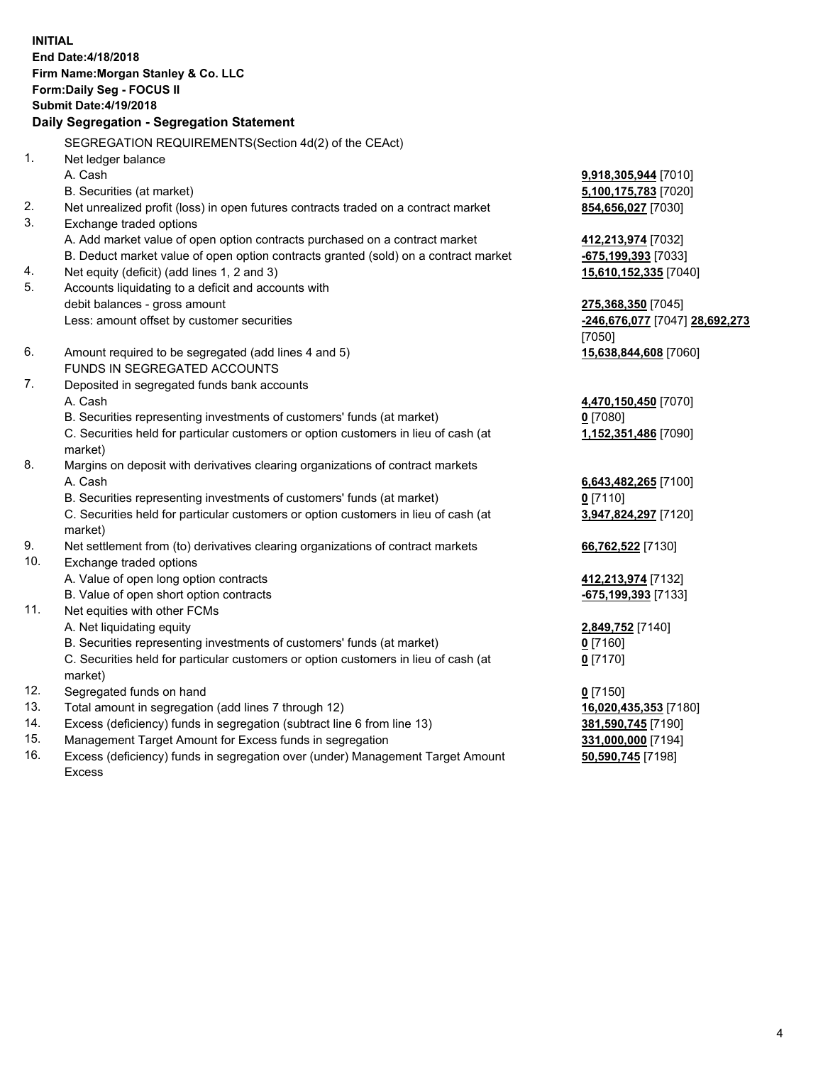**INITIAL End Date:4/18/2018 Firm Name:Morgan Stanley & Co. LLC Form:Daily Seg - FOCUS II Submit Date:4/19/2018 Daily Segregation - Segregation Statement** SEGREGATION REQUIREMENTS(Section 4d(2) of the CEAct) 1. Net ledger balance A. Cash **9,918,305,944** [7010] B. Securities (at market) **5,100,175,783** [7020] 2. Net unrealized profit (loss) in open futures contracts traded on a contract market **854,656,027** [7030] 3. Exchange traded options A. Add market value of open option contracts purchased on a contract market **412,213,974** [7032] B. Deduct market value of open option contracts granted (sold) on a contract market **-675,199,393** [7033] 4. Net equity (deficit) (add lines 1, 2 and 3) **15,610,152,335** [7040] 5. Accounts liquidating to a deficit and accounts with debit balances - gross amount **275,368,350** [7045] Less: amount offset by customer securities **-246,676,077** [7047] **28,692,273** [7050] 6. Amount required to be segregated (add lines 4 and 5) **15,638,844,608** [7060] FUNDS IN SEGREGATED ACCOUNTS 7. Deposited in segregated funds bank accounts A. Cash **4,470,150,450** [7070] B. Securities representing investments of customers' funds (at market) **0** [7080] C. Securities held for particular customers or option customers in lieu of cash (at market) **1,152,351,486** [7090] 8. Margins on deposit with derivatives clearing organizations of contract markets A. Cash **6,643,482,265** [7100] B. Securities representing investments of customers' funds (at market) **0** [7110] C. Securities held for particular customers or option customers in lieu of cash (at market) **3,947,824,297** [7120] 9. Net settlement from (to) derivatives clearing organizations of contract markets **66,762,522** [7130] 10. Exchange traded options A. Value of open long option contracts **412,213,974** [7132] B. Value of open short option contracts **-675,199,393** [7133] 11. Net equities with other FCMs A. Net liquidating equity **2,849,752** [7140] B. Securities representing investments of customers' funds (at market) **0** [7160] C. Securities held for particular customers or option customers in lieu of cash (at market) **0** [7170] 12. Segregated funds on hand **0** [7150] 13. Total amount in segregation (add lines 7 through 12) **16,020,435,353** [7180] 14. Excess (deficiency) funds in segregation (subtract line 6 from line 13) **381,590,745** [7190]

- 15. Management Target Amount for Excess funds in segregation **331,000,000** [7194]
- 16. Excess (deficiency) funds in segregation over (under) Management Target Amount Excess

**50,590,745** [7198]